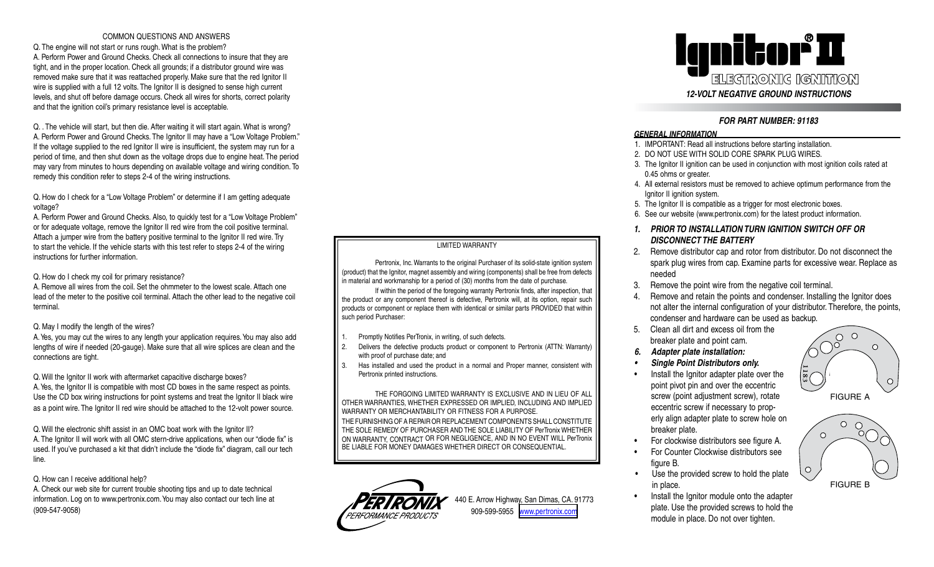### COMMON QUESTIONS AND ANSWERS

Q. The engine will not start or runs rough. What is the problem? A. Perform Power and Ground Checks. Check all connections to insure that they are tight, and in the proper location. Check all grounds; if a distributor ground wire was removed make sure that it was reattached properly. Make sure that the red Ignitor II wire is supplied with a full 12 volts. The Ignitor II is designed to sense high current levels, and shut off before damage occurs. Check all wires for shorts, correct polarity and that the ignition coil's primary resistance level is acceptable.

Q. . The vehicle will start, but then die. After waiting it will start again. What is wrong? A. Perform Power and Ground Checks. The Ignitor II may have a "Low Voltage Problem." If the voltage supplied to the red Ignitor II wire is insufficient, the system may run for a period of time, and then shut down as the voltage drops due to engine heat. The period may vary from minutes to hours depending on available voltage and wiring condition. To remedy this condition refer to steps 2-4 of the wiring instructions.

Q. How do I check for a "Low Voltage Problem" or determine if I am getting adequate voltage?

A. Perform Power and Ground Checks. Also, to quickly test for a "Low Voltage Problem" or for adequate voltage, remove the Ignitor II red wire from the coil positive terminal. Attach a jumper wire from the battery positive terminal to the Ignitor II red wire. Try to start the vehicle. If the vehicle starts with this test refer to steps 2-4 of the wiring instructions for further information.

Q. How do I check my coil for primary resistance?

A. Remove all wires from the coil. Set the ohmmeter to the lowest scale. Attach one lead of the meter to the positive coil terminal. Attach the other lead to the negative coil terminal.

## Q. May I modify the length of the wires?

A. Yes, you may cut the wires to any length your application requires. You may also add lengths of wire if needed (20-gauge). Make sure that all wire splices are clean and the connections are tight.

Q. Will the Ignitor II work with aftermarket capacitive discharge boxes?

A. Yes, the Ignitor II is compatible with most CD boxes in the same respect as points. Use the CD box wiring instructions for point systems and treat the Ignitor II black wire as a point wire. The Ignitor II red wire should be attached to the 12-volt power source.

Q. Will the electronic shift assist in an OMC boat work with the Ignitor II? A. The Ignitor II will work with all OMC stern-drive applications, when our "diode fix" is used. If you've purchased a kit that didn't include the "diode fix" diagram, call our tech line.

Q. How can I receive additional help?

A. Check our web site for current trouble shooting tips and up to date technical information. Log on to www.pertronix.com. You may also contact our tech line at (909-547-9058)

## LIMITED WARRANTY

Pertronix, Inc. Warrants to the original Purchaser of its solid-state ignition system (product) that the Ignitor, magnet assembly and wiring (components) shall be free from defects in material and workmanship for a period of (30) months from the date of purchase.

If within the period of the foregoing warranty Pertronix finds, after inspection, that the product or any component thereof is defective, Pertronix will, at its option, repair such products or component or replace them with identical or similar parts PROVIDED that within such period Purchaser:

- 1. Promptly Notifies PerTronix, in writing, of such defects.
- 2. Delivers the defective products product or component to Pertronix (ATTN: Warranty) with proof of purchase date; and
- 3. Has installed and used the product in a normal and Proper manner, consistent with Pertronix printed instructions.

THE FORGOING LIMITED WARRANTY IS EXCLUSIVE AND IN LIEU OF ALL OTHER WARRANTIES, WHETHER EXPRESSED OR IMPLIED, INCLUDING AND IMPLIED WARRANTY OR MERCHANTABILITY OR FITNESS FOR A PURPOSE. THE FURNISHING OF A REPAIR OR REPLACEMENT COMPONENTS SHALL CONSTITUTE THE SOLE REMEDY OF PURCHASER AND THE SOLE LIABILITY OF PerTronix WHETHER ON WARRANTY, CONTRACT OR FOR NEGLIGENCE, AND IN NO EVENT WILL PerTronix BE LIABLE FOR MONEY DAMAGES WHETHER DIRECT OR CONSEQUENTIAL.



440 E. Arrow Highway, San Dimas, CA. 91773 909-599-5955 [www.pertronix.com](http://www.pertronix.com)



# *FOR PART NUMBER: 91183*

## *GENERAL INFORMATION*

- 1. IMPORTANT: Read all instructions before starting installation.
- 2. DO NOT USE WITH SOLID CORE SPARK PLUG WIRES.
- 3. The Ignitor II ignition can be used in conjunction with most ignition coils rated at 0.45 ohms or greater.
- 4. All external resistors must be removed to achieve optimum performance from the Ignitor II ignition system.
- 5. The Ignitor II is compatible as a trigger for most electronic boxes.
- 6. See our website (www.pertronix.com) for the latest product information.
- *1. PRIOR TO INSTALLATION TURN IGNITION SWITCH OFF OR DISCONNECT THE BATTERY*
- 2. Remove distributor cap and rotor from distributor. Do not disconnect the spark plug wires from cap. Examine parts for excessive wear. Replace as needed
- 3. Remove the point wire from the negative coil terminal.
- Remove and retain the points and condenser. Installing the Ignitor does not alter the internal configuration of your distributor. Therefore, the points, condenser and hardware can be used as backup.
- 5. Clean all dirt and excess oil from the breaker plate and point cam.
- *6. Adapter plate installation:*
- *• Single Point Distributors only.*
- Install the Ignitor adapter plate over the point pivot pin and over the eccentric screw (point adjustment screw), rotate eccentric screw if necessary to properly align adapter plate to screw hole on breaker plate.
- For clockwise distributors see figure A.
- For Counter Clockwise distributors see figure B.
- Use the provided screw to hold the plate in place.
- Install the Ignitor module onto the adapter plate. Use the provided screws to hold the module in place. Do not over tighten.